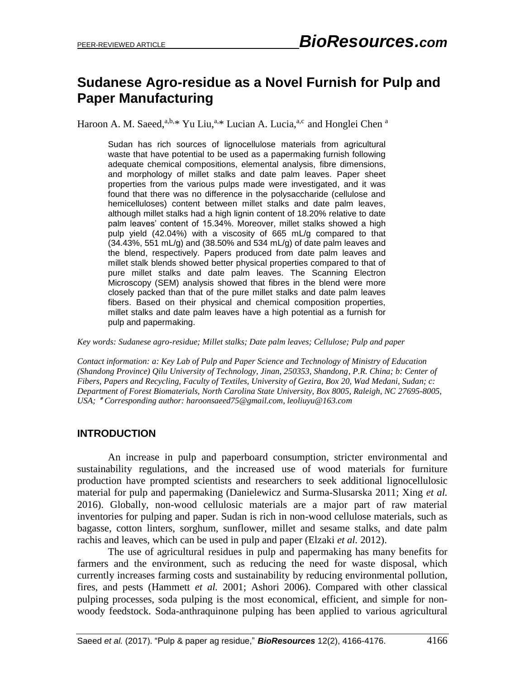# **Sudanese Agro-residue as a Novel Furnish for Pulp and Paper Manufacturing**

Haroon A. M. Saeed,<sup>a,b,\*</sup> Yu Liu,<sup>a,\*</sup> Lucian A. Lucia,<sup>a,c</sup> and Honglei Chen <sup>a</sup>

Sudan has rich sources of lignocellulose materials from agricultural waste that have potential to be used as a papermaking furnish following adequate chemical compositions, elemental analysis, fibre dimensions, and morphology of millet stalks and date palm leaves. Paper sheet properties from the various pulps made were investigated, and it was found that there was no difference in the polysaccharide (cellulose and hemicelluloses) content between millet stalks and date palm leaves, although millet stalks had a high lignin content of 18.20% relative to date palm leaves' content of 15.34%. Moreover, millet stalks showed a high pulp yield (42.04%) with a viscosity of 665 mL/g compared to that  $(34.43\%$ , 551 mL/g) and  $(38.50\%$  and 534 mL/g) of date palm leaves and the blend, respectively. Papers produced from date palm leaves and millet stalk blends showed better physical properties compared to that of pure millet stalks and date palm leaves. The Scanning Electron Microscopy (SEM) analysis showed that fibres in the blend were more closely packed than that of the pure millet stalks and date palm leaves fibers. Based on their physical and chemical composition properties, millet stalks and date palm leaves have a high potential as a furnish for pulp and papermaking.

*Key words: Sudanese agro-residue; Millet stalks; Date palm leaves; Cellulose; Pulp and paper*

*Contact information: a: Key Lab of Pulp and Paper Science and Technology of Ministry of Education (Shandong Province) Qilu University of Technology, Jinan, 250353, Shandong, P.R. China; b: Center of Fibers, Papers and Recycling, Faculty of Textiles, University of Gezira, Box 20, Wad Medani, Sudan; c: Department of Forest Biomaterials, North Carolina State University, Box 8005, Raleigh, NC 27695-8005, USA;* ٭ *Corresponding author: haroonsaeed75@gmail.com, leoliuyu@163.com*

#### **INTRODUCTION**

An increase in pulp and paperboard consumption, stricter environmental and sustainability regulations, and the increased use of wood materials for furniture production have prompted scientists and researchers to seek additional lignocellulosic material for pulp and papermaking (Danielewicz and Surma-Slusarska 2011; Xing *et al.* 2016). Globally, non-wood cellulosic materials are a major part of raw material inventories for pulping and paper. Sudan is rich in non-wood cellulose materials, such as bagasse, cotton linters, sorghum, sunflower, millet and sesame stalks, and date palm rachis and leaves, which can be used in pulp and paper (Elzaki *et al.* 2012).

The use of agricultural residues in pulp and papermaking has many benefits for farmers and the environment, such as reducing the need for waste disposal, which currently increases farming costs and sustainability by reducing environmental pollution, fires, and pests (Hammett *et al.* 2001; Ashori 2006). Compared with other classical pulping processes, soda pulping is the most economical, efficient, and simple for nonwoody feedstock. Soda-anthraquinone pulping has been applied to various agricultural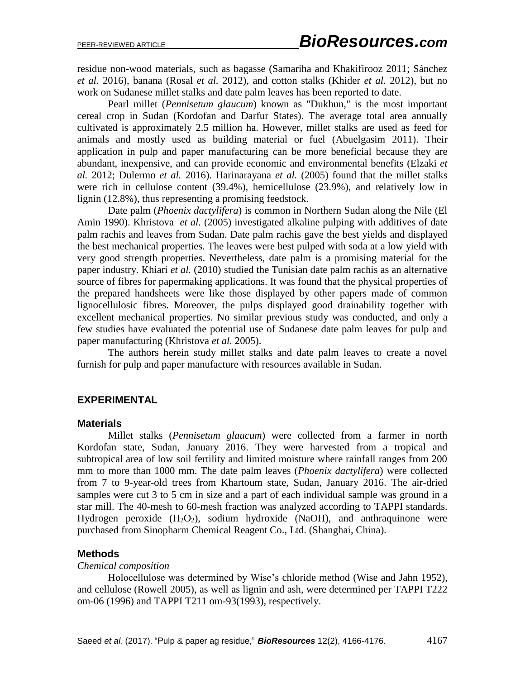residue non-wood materials, such as bagasse (Samariha and Khakifirooz 2011; Sánchez *et al.* 2016), banana (Rosal *et al.* 2012), and cotton stalks (Khider *et al.* 2012), but no work on Sudanese millet stalks and date palm leaves has been reported to date.

Pearl millet (*Pennisetum glaucum*) known as "Dukhun," is the most important cereal crop in Sudan (Kordofan and Darfur States). The average total area annually cultivated is approximately 2.5 million ha. However, millet stalks are used as feed for animals and mostly used as building material or fuel (Abuelgasim 2011). Their application in pulp and paper manufacturing can be more beneficial because they are abundant, inexpensive, and can provide economic and environmental benefits (Elzaki *et al.* 2012; Dulermo *et al.* 2016). Harinarayana *et al.* (2005) found that the millet stalks were rich in cellulose content (39.4%), hemicellulose (23.9%), and relatively low in lignin (12.8%), thus representing a promising feedstock.

Date palm (*Phoenix dactylifera*) is common in Northern Sudan along the Nile (El Amin 1990). Khristova *et al.* (2005) investigated alkaline pulping with additives of date palm rachis and leaves from Sudan. Date palm rachis gave the best yields and displayed the best mechanical properties. The leaves were best pulped with soda at a low yield with very good strength properties. Nevertheless, date palm is a promising material for the paper industry. Khiari *et al.* (2010) studied the Tunisian date palm rachis as an alternative source of fibres for papermaking applications. It was found that the physical properties of the prepared handsheets were like those displayed by other papers made of common lignocellulosic fibres. Moreover, the pulps displayed good drainability together with excellent mechanical properties. No similar previous study was conducted, and only a few studies have evaluated the potential use of Sudanese date palm leaves for pulp and paper manufacturing (Khristova *et al.* 2005).

The authors herein study millet stalks and date palm leaves to create a novel furnish for pulp and paper manufacture with resources available in Sudan.

## **EXPERIMENTAL**

#### **Materials**

Millet stalks (*Pennisetum glaucum*) were collected from a farmer in north Kordofan state, Sudan, January 2016. They were harvested from a tropical and subtropical area of low soil fertility and limited moisture where rainfall ranges from 200 mm to more than 1000 mm. The date palm leaves (*Phoenix dactylifera*) were collected from 7 to 9-year-old trees from Khartoum state, Sudan, January 2016. The air-dried samples were cut 3 to 5 cm in size and a part of each individual sample was ground in a star mill. The 40-mesh to 60-mesh fraction was analyzed according to TAPPI standards. Hydrogen peroxide  $(H_2O_2)$ , sodium hydroxide (NaOH), and anthraquinone were purchased from Sinopharm Chemical Reagent Co., Ltd. (Shanghai, China).

#### **Methods**

#### *Chemical composition*

Holocellulose was determined by Wise's chloride method (Wise and Jahn 1952), and cellulose (Rowell 2005), as well as lignin and ash, were determined per TAPPI T222 om-06 (1996) and TAPPI T211 om-93(1993), respectively.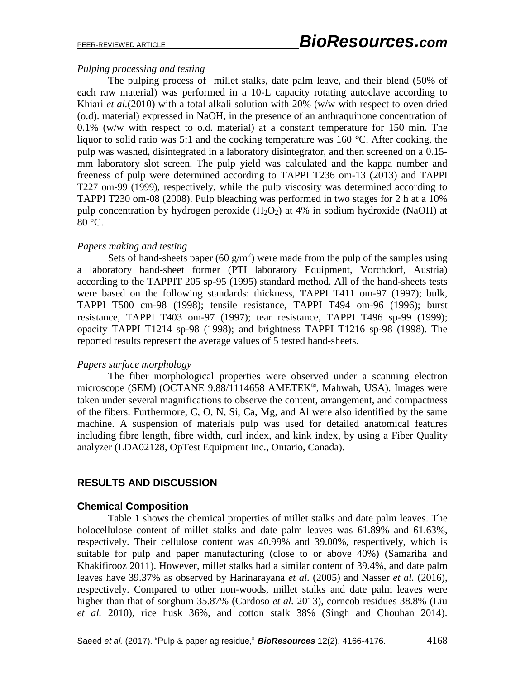## *Pulping processing and testing*

The pulping process of millet stalks, date palm leave, and their blend (50% of each raw material) was performed in a 10-L capacity rotating autoclave according to Khiari *et al.*(2010) with a total alkali solution with 20% (w/w with respect to oven dried (o.d). material) expressed in NaOH, in the presence of an anthraquinone concentration of 0.1% (w/w with respect to o.d. material) at a constant temperature for 150 min. The liquor to solid ratio was 5:1 and the cooking temperature was 160 *°*C. After cooking, the pulp was washed, disintegrated in a laboratory disintegrator, and then screened on a 0.15 mm laboratory slot screen. The pulp yield was calculated and the kappa number and freeness of pulp were determined according to TAPPI T236 om-13 (2013) and TAPPI T227 om-99 (1999), respectively, while the pulp viscosity was determined according to TAPPI T230 om-08 (2008). Pulp bleaching was performed in two stages for 2 h at a 10% pulp concentration by hydrogen peroxide  $(H_2O_2)$  at 4% in sodium hydroxide (NaOH) at 80 °C.

### *Papers making and testing*

Sets of hand-sheets paper (60  $g/m<sup>2</sup>$ ) were made from the pulp of the samples using a laboratory hand-sheet former (PTI laboratory Equipment, Vorchdorf, Austria) according to the TAPPIT 205 sp-95 (1995) standard method. All of the hand-sheets tests were based on the following standards: thickness, TAPPI T411 om-97 (1997); bulk, TAPPI T500 cm-98 (1998); tensile resistance, TAPPI T494 om-96 (1996); burst resistance, TAPPI T403 om-97 (1997); tear resistance, TAPPI T496 sp-99 (1999); opacity TAPPI T1214 sp-98 (1998); and brightness TAPPI T1216 sp-98 (1998). The reported results represent the average values of 5 tested hand-sheets.

#### *Papers surface morphology*

The fiber morphological properties were observed under a scanning electron microscope (SEM) (OCTANE 9.88/1114658 AMETEK®, Mahwah, USA). Images were taken under several magnifications to observe the content, arrangement, and compactness of the fibers. Furthermore, C, O, N, Si, Ca, Mg, and Al were also identified by the same machine. A suspension of materials pulp was used for detailed anatomical features including fibre length, fibre width, curl index, and kink index, by using a Fiber Quality analyzer (LDA02128, OpTest Equipment Inc., Ontario, Canada).

# **RESULTS AND DISCUSSION**

## **Chemical Composition**

Table 1 shows the chemical properties of millet stalks and date palm leaves. The holocellulose content of millet stalks and date palm leaves was 61.89% and 61.63%, respectively. Their cellulose content was 40.99% and 39.00%, respectively, which is suitable for pulp and paper manufacturing (close to or above 40%) (Samariha and Khakifirooz 2011). However, millet stalks had a similar content of 39.4%, and date palm leaves have 39.37% as observed by Harinarayana *et al.* (2005) and Nasser *et al.* (2016), respectively. Compared to other non-woods, millet stalks and date palm leaves were higher than that of sorghum 35.87% (Cardoso *et al.* 2013), corncob residues 38.8% (Liu *et al.* 2010), rice husk 36%, and cotton stalk 38% (Singh and Chouhan 2014).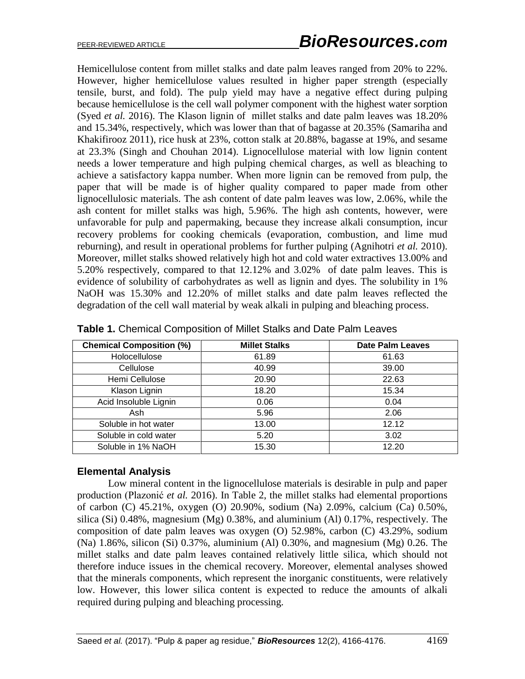Hemicellulose content from millet stalks and date palm leaves ranged from 20% to 22%. However, higher hemicellulose values resulted in higher paper strength (especially tensile, burst, and fold). The pulp yield may have a negative effect during pulping because hemicellulose is the cell wall polymer component with the highest water sorption (Syed *et al.* 2016). The Klason lignin of millet stalks and date palm leaves was 18.20% and 15.34%, respectively, which was lower than that of bagasse at 20.35% (Samariha and Khakifirooz 2011), rice husk at 23%, cotton stalk at 20.88%, bagasse at 19%, and sesame at 23.3% (Singh and Chouhan 2014). Lignocellulose material with low lignin content needs a lower temperature and high pulping chemical charges, as well as bleaching to achieve a satisfactory kappa number. When more lignin can be removed from pulp, the paper that will be made is of higher quality compared to paper made from other lignocellulosic materials. The ash content of date palm leaves was low, 2.06%, while the ash content for millet stalks was high, 5.96%. The high ash contents, however, were unfavorable for pulp and papermaking, because they increase alkali consumption, incur recovery problems for cooking chemicals (evaporation, combustion, and lime mud reburning), and result in operational problems for further pulping (Agnihotri *et al.* 2010). Moreover, millet stalks showed relatively high hot and cold water extractives 13.00% and 5.20% respectively, compared to that 12.12% and 3.02% of date palm leaves. This is evidence of solubility of carbohydrates as well as lignin and dyes. The solubility in 1% NaOH was 15.30% and 12.20% of millet stalks and date palm leaves reflected the degradation of the cell wall material by weak alkali in pulping and bleaching process.

| <b>Chemical Composition (%)</b> | <b>Millet Stalks</b> | <b>Date Palm Leaves</b> |
|---------------------------------|----------------------|-------------------------|
| Holocellulose                   | 61.89                | 61.63                   |
| Cellulose                       | 40.99                | 39.00                   |
| Hemi Cellulose                  | 20.90                | 22.63                   |
| Klason Lignin                   | 18.20                | 15.34                   |
| Acid Insoluble Lignin           | 0.06                 | 0.04                    |
| Ash                             | 5.96                 | 2.06                    |
| Soluble in hot water            | 13.00                | 12.12                   |
| Soluble in cold water           | 5.20                 | 3.02                    |
| Soluble in 1% NaOH              | 15.30                | 12.20                   |

#### **Elemental Analysis**

 Low mineral content in the lignocellulose materials is desirable in pulp and paper production (Plazonić *et al.* 2016). In Table 2, the millet stalks had elemental proportions of carbon (C) 45.21%, oxygen (O) 20.90%, sodium (Na) 2.09%, calcium (Ca) 0.50%, silica (Si) 0.48%, magnesium (Mg) 0.38%, and aluminium (Al) 0.17%, respectively. The composition of date palm leaves was oxygen (O) 52.98%, carbon (C) 43.29%, sodium (Na) 1.86%, silicon (Si) 0.37%, aluminium (Al) 0.30%, and magnesium (Mg) 0.26. The millet stalks and date palm leaves contained relatively little silica, which should not therefore induce issues in the chemical recovery. Moreover, elemental analyses showed that the minerals components, which represent the inorganic constituents, were relatively low. However, this lower silica content is expected to reduce the amounts of alkali required during pulping and bleaching processing.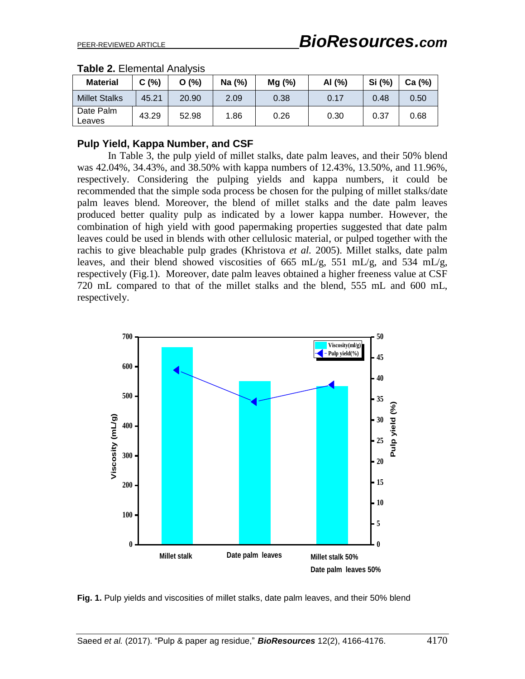| <b>Material</b>      | C(%)  | O(%)  | Na (%) | Mg (%) | AI (%) | Si (%) | Ca (%) |
|----------------------|-------|-------|--------|--------|--------|--------|--------|
| <b>Millet Stalks</b> | 45.21 | 20.90 | 2.09   | 0.38   | 0.17   | 0.48   | 0.50   |
| Date Palm<br>Leaves  | 43.29 | 52.98 | 1.86   | 0.26   | 0.30   | 0.37   | 0.68   |

|  | <b>Table 2. Elemental Analysis</b> |  |
|--|------------------------------------|--|
|--|------------------------------------|--|

#### **Pulp Yield, Kappa Number, and CSF**

In Table 3, the pulp yield of millet stalks, date palm leaves, and their 50% blend was 42.04%, 34.43%, and 38.50% with kappa numbers of 12.43%, 13.50%, and 11.96%, respectively. Considering the pulping yields and kappa numbers, it could be recommended that the simple soda process be chosen for the pulping of millet stalks/date palm leaves blend. Moreover, the blend of millet stalks and the date palm leaves produced better quality pulp as indicated by a lower kappa number. However, the combination of high yield with good papermaking properties suggested that date palm leaves could be used in blends with other cellulosic material, or pulped together with the rachis to give bleachable pulp grades (Khristova *et al.* 2005). Millet stalks, date palm leaves, and their blend showed viscosities of 665 mL/g, 551 mL/g, and 534 mL/g, respectively (Fig.1). Moreover, date palm leaves obtained a higher freeness value at CSF 720 mL compared to that of the millet stalks and the blend, 555 mL and 600 mL, respectively.



**Fig. 1.** Pulp yields and viscosities of millet stalks, date palm leaves, and their 50% blend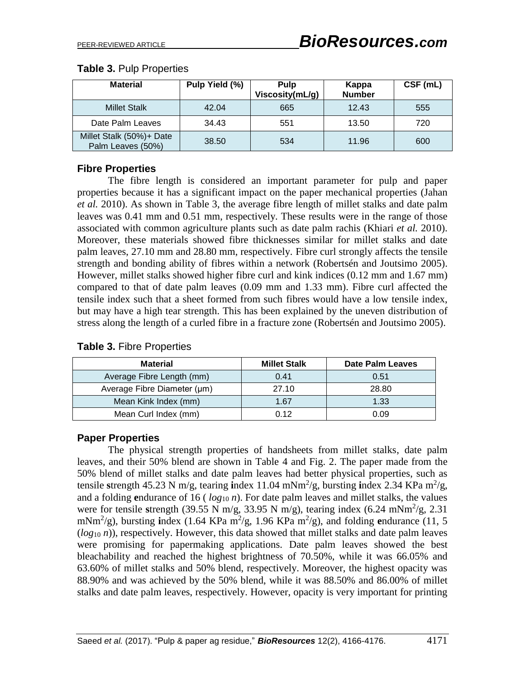# **Table 3.** Pulp Properties

| <b>Material</b>                               | Pulp Yield (%) | <b>Pulp</b><br>Viscosity(mL/g) | Kappa<br><b>Number</b> | CSF (mL) |
|-----------------------------------------------|----------------|--------------------------------|------------------------|----------|
| <b>Millet Stalk</b>                           | 42.04          | 665                            | 12.43                  | 555      |
| Date Palm Leaves                              | 34.43          | 551                            | 13.50                  | 720      |
| Millet Stalk (50%)+ Date<br>Palm Leaves (50%) | 38.50          | 534                            | 11.96                  | 600      |

# **Fibre Properties**

The fibre length is considered an important parameter for pulp and paper properties because it has a significant impact on the paper mechanical properties (Jahan *et al.* 2010). As shown in Table 3, the average fibre length of millet stalks and date palm leaves was 0.41 mm and 0.51 mm, respectively. These results were in the range of those associated with common agriculture plants such as date palm rachis (Khiari *et al.* 2010). Moreover, these materials showed fibre thicknesses similar for millet stalks and date palm leaves, 27.10 mm and 28.80 mm, respectively. Fibre curl strongly affects the tensile strength and bonding ability of fibres within a network (Robertsén and Joutsimo 2005). However, millet stalks showed higher fibre curl and kink indices (0.12 mm and 1.67 mm) compared to that of date palm leaves (0.09 mm and 1.33 mm). Fibre curl affected the tensile index such that a sheet formed from such fibres would have a low tensile index, but may have a high tear strength. This has been explained by the uneven distribution of stress along the length of a curled fibre in a fracture zone (Robertsén and Joutsimo 2005).

| Material                    | <b>Millet Stalk</b> | Date Palm Leaves |
|-----------------------------|---------------------|------------------|
| Average Fibre Length (mm)   | 0.41                | 0.51             |
| Average Fibre Diameter (µm) | 27.10               | 28.80            |
| Mean Kink Index (mm)        | 1.67                | 1.33             |
| Mean Curl Index (mm)        | 0.12                | 0.09             |

## **Table 3.** Fibre Properties

# **Paper Properties**

The physical strength properties of handsheets from millet stalks, date palm leaves, and their 50% blend are shown in Table 4 and Fig. 2. The paper made from the 50% blend of millet stalks and date palm leaves had better physical properties, such as tensile strength 45.23 N m/g, tearing index 11.04 mNm<sup>2</sup>/g, bursting index 2.34 KPa m<sup>2</sup>/g, and a folding **e**ndurance of 16 ( *log*<sup>10</sup> *n*). For date palm leaves and millet stalks, the values were for tensile strength (39.55 N m/g, 33.95 N m/g), tearing index  $(6.24 \text{ mNm}^2/\text{g}, 2.31 \text{ m}^2/\text{g})$ mNm<sup>2</sup>/g), bursting **i**ndex (1.64 KPa m<sup>2</sup>/g, 1.96 KPa m<sup>2</sup>/g), and folding **e**ndurance (11, 5 (*log*<sup>10</sup> *n*)), respectively. However, this data showed that millet stalks and date palm leaves were promising for papermaking applications. Date palm leaves showed the best bleachability and reached the highest brightness of 70.50%, while it was 66.05% and 63.60% of millet stalks and 50% blend, respectively. Moreover, the highest opacity was 88.90% and was achieved by the 50% blend, while it was 88.50% and 86.00% of millet stalks and date palm leaves, respectively. However, opacity is very important for printing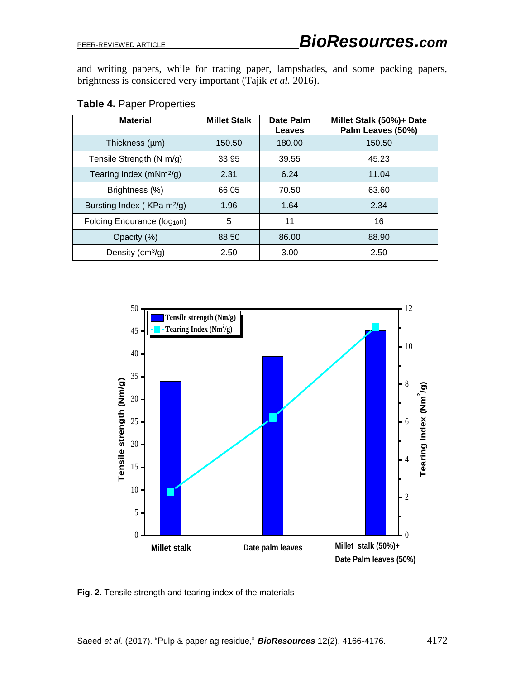and writing papers, while for tracing paper, lampshades, and some packing papers, brightness is considered very important (Tajik *et al.* 2016).

| <b>Material</b>                         | <b>Millet Stalk</b> | Date Palm<br>Leaves | Millet Stalk (50%)+ Date<br>Palm Leaves (50%) |
|-----------------------------------------|---------------------|---------------------|-----------------------------------------------|
| Thickness (µm)                          | 150.50              | 180.00              | 150.50                                        |
| Tensile Strength (N m/g)                | 33.95               | 39.55               | 45.23                                         |
| Tearing Index (mNm <sup>2</sup> /g)     | 2.31                | 6.24                | 11.04                                         |
| Brightness (%)                          | 66.05               | 70.50               | 63.60                                         |
| Bursting Index (KPa m <sup>2</sup> /g)  | 1.96                | 1.64                | 2.34                                          |
| Folding Endurance (log <sub>10</sub> n) | 5                   | 11                  | 16                                            |
| Opacity (%)                             | 88.50               | 86.00               | 88.90                                         |
| Density $(cm^3/g)$                      | 2.50                | 3.00                | 2.50                                          |

# **Table 4.** Paper Properties



**Fig. 2.** Tensile strength and tearing index of the materials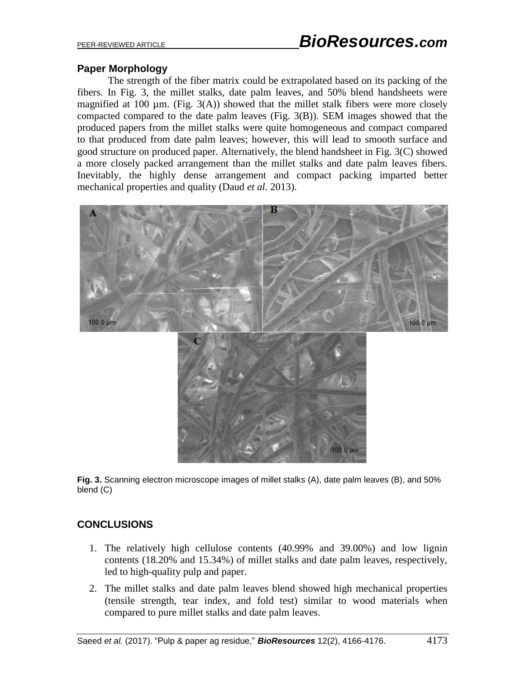## **Paper Morphology**

The strength of the fiber matrix could be extrapolated based on its packing of the fibers. In Fig. 3, the millet stalks, date palm leaves, and 50% blend handsheets were magnified at 100  $\mu$ m. (Fig. 3(A)) showed that the millet stalk fibers were more closely compacted compared to the date palm leaves (Fig. 3(B)). SEM images showed that the produced papers from the millet stalks were quite homogeneous and compact compared to that produced from date palm leaves; however, this will lead to smooth surface and good structure on produced paper. Alternatively, the blend handsheet in Fig. 3(C) showed a more closely packed arrangement than the millet stalks and date palm leaves fibers. Inevitably, the highly dense arrangement and compact packing imparted better mechanical properties and quality (Daud *et al.* 2013).



**Fig. 3.** Scanning electron microscope images of millet stalks (A), date palm leaves (B), and 50% blend (C)

# **CONCLUSIONS**

- 1. The relatively high cellulose contents (40.99% and 39.00%) and low lignin contents (18.20% and 15.34%) of millet stalks and date palm leaves, respectively, led to high-quality pulp and paper.
- 2. The millet stalks and date palm leaves blend showed high mechanical properties (tensile strength, tear index, and fold test) similar to wood materials when compared to pure millet stalks and date palm leaves.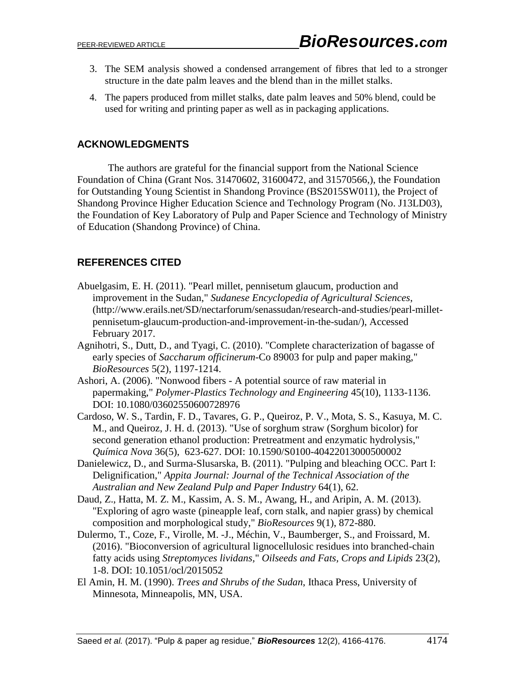- 3. The SEM analysis showed a condensed arrangement of fibres that led to a stronger structure in the date palm leaves and the blend than in the millet stalks.
- 4. The papers produced from millet stalks, date palm leaves and 50% blend, could be used for writing and printing paper as well as in packaging applications.

### **ACKNOWLEDGMENTS**

The authors are grateful for the financial support from the National Science Foundation of China (Grant Nos. 31470602, 31600472, and 31570566,), the Foundation for Outstanding Young Scientist in Shandong Province (BS2015SW011), the Project of Shandong Province Higher Education Science and Technology Program (No. J13LD03), the Foundation of Key Laboratory of Pulp and Paper Science and Technology of Ministry of Education (Shandong Province) of China.

# **REFERENCES CITED**

- Abuelgasim, E. H. (2011). "Pearl millet, pennisetum glaucum, production and improvement in the Sudan," *Sudanese Encyclopedia of Agricultural Sciences*, (http://www.erails.net/SD/nectarforum/senassudan/research-and-studies/pearl-milletpennisetum-glaucum-production-and-improvement-in-the-sudan/), Accessed February 2017.
- Agnihotri, S., Dutt, D., and Tyagi, C. (2010). "Complete characterization of bagasse of early species of *Saccharum officinerum*-Co 89003 for pulp and paper making," *BioResources* 5(2), 1197-1214.
- Ashori, A. (2006). "Nonwood fibers A potential source of raw material in papermaking," *Polymer-Plastics Technology and Engineering* 45(10), 1133-1136. DOI: [10.1080/03602550600728976](http://dx.doi.org/10.1080/03602550600728976)
- Cardoso, W. S., Tardin, F. D., Tavares, G. P., Queiroz, P. V., Mota, S. S., Kasuya, M. C. M., and Queiroz, J. H. d. (2013). "Use of sorghum straw (Sorghum bicolor) for second generation ethanol production: Pretreatment and enzymatic hydrolysis," *Química Nova* 36(5), 623-627. DOI: 10.1590/S0100-40422013000500002
- Danielewicz, D., and Surma-Slusarska, B. (2011). "Pulping and bleaching OCC. Part I: Delignification," *Appita Journal: Journal of the Technical Association of the Australian and New Zealand Pulp and Paper Industry* 64(1), 62.
- Daud, Z., Hatta, M. Z. M., Kassim, A. S. M., Awang, H., and Aripin, A. M. (2013). "Exploring of agro waste (pineapple leaf, corn stalk, and napier grass) by chemical composition and morphological study," *BioResources* 9(1), 872-880.
- Dulermo, T., Coze, F., Virolle, M. -J., Méchin, V., Baumberger, S., and Froissard, M. (2016). "Bioconversion of agricultural lignocellulosic residues into branched-chain fatty acids using *Streptomyces lividans,*" *Oilseeds and Fats, Crops and Lipids* 23(2), 1-8. [DOI: 10.1051/ocl/2015052](https://doi.org/10.1051/ocl/2015052)
- El Amin, H. M. (1990). *Trees and Shrubs of the Sudan*, Ithaca Press, University of Minnesota, Minneapolis, MN, USA.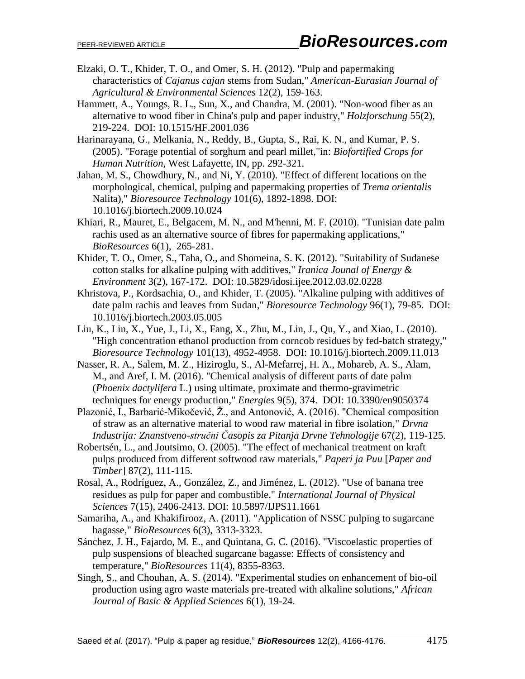- Elzaki, O. T., Khider, T. O., and Omer, S. H. (2012). "Pulp and papermaking characteristics of *Cajanus cajan* stems from Sudan," *[American-Eurasian Journal of](https://www.google.ae/url?sa=t&rct=j&q=&esrc=s&source=web&cd=3&cad=rja&uact=8&ved=0ahUKEwi0hL2p4bHSAhUEbbwKHX2dBWQQFggiMAI&url=http%3A%2F%2Fjml2012.indexcopernicus.com%2FAmerican-Eurasian%2BJournal%2Bof%2BAgricultural%2Band%2BEnvironmental%2BSciences%2Cp6705%2C3.html&usg=AFQjCNHdvKvxF2pJf8UZWa4TpMeNtBkglg&bvm=bv.148073327,d.dGc)  [Agricultural & Environmental Sciences](https://www.google.ae/url?sa=t&rct=j&q=&esrc=s&source=web&cd=3&cad=rja&uact=8&ved=0ahUKEwi0hL2p4bHSAhUEbbwKHX2dBWQQFggiMAI&url=http%3A%2F%2Fjml2012.indexcopernicus.com%2FAmerican-Eurasian%2BJournal%2Bof%2BAgricultural%2Band%2BEnvironmental%2BSciences%2Cp6705%2C3.html&usg=AFQjCNHdvKvxF2pJf8UZWa4TpMeNtBkglg&bvm=bv.148073327,d.dGc)* 12(2), 159-163.
- Hammett, A., Youngs, R. L., Sun, X., and Chandra, M. (2001). "Non-wood fiber as an alternative to wood fiber in China's pulp and paper industry," *Holzforschung* 55(2), 219-224. [DOI: 10.1515/HF.2001.036](https://doi.org/10.1515/HF.2001.036)
- Harinarayana, G., Melkania, N., Reddy, B., Gupta, S., Rai, K. N., and Kumar, P. S. (2005). "Forage potential of sorghum and pearl millet,"in: *Biofortified Crops for Human Nutrition*, West Lafayette, IN, pp. 292-321.
- Jahan, M. S., Chowdhury, N., and Ni, Y. (2010). "Effect of different locations on the morphological, chemical, pulping and papermaking properties of *Trema orientalis*  Nalita)," *Bioresource Technology* 101(6), 1892-1898. DOI: 10.1016/j.biortech.2009.10.024
- Khiari, R., Mauret, E., Belgacem, M. N., and M'henni, M. F. (2010). "Tunisian date palm rachis used as an alternative source of fibres for papermaking applications," *BioResources* 6(1), 265-281.
- Khider, T. O., Omer, S., Taha, O., and Shomeina, S. K. (2012). "Suitability of Sudanese cotton stalks for alkaline pulping with additives," *Iranica Jounal of Energy & Environment* 3(2), 167-172. DOI: 10.5829/idosi.ijee.2012.03.02.0228
- Khristova, P., Kordsachia, O., and Khider, T. (2005). "Alkaline pulping with additives of date palm rachis and leaves from Sudan," *Bioresource Technology* 96(1), 79-85. [DOI:](http://dx.doi.org/10.1016/j.biortech.2003.05.005)  [10.1016/j.biortech.2003.05.005](http://dx.doi.org/10.1016/j.biortech.2003.05.005)
- Liu, K., Lin, X., Yue, J., Li, X., Fang, X., Zhu, M., Lin, J., Qu, Y., and Xiao, L. (2010). "High concentration ethanol production from corncob residues by fed-batch strategy," *Bioresource Technology* 101(13), 4952-4958. DOI: [10.1016/j.biortech.2009.11.013](http://dx.doi.org/10.1016/j.biortech.2009.11.013)
- Nasser, R. A., Salem, M. Z., Hiziroglu, S., Al-Mefarrej, H. A., Mohareb, A. S., Alam, M., and Aref, I. M. (2016). "Chemical analysis of different parts of date palm (*Phoenix dactylifera* L.) using ultimate, proximate and thermo-gravimetric techniques for energy production," *Energies* 9(5), 374. DOI: 10.3390/en9050374
- Plazonić, I., Barbarić-Mikočević, Ž., and Antonović, A. (2016). "Chemical composition of straw as an alternative material to wood raw material in fibre isolation," *Drvna Industrija: Znanstveno-stručni Časopis za Pitanja Drvne Tehnologije* 67(2), 119-125.
- Robertsén, L., and Joutsimo, O. (2005). "The effect of mechanical treatment on kraft pulps produced from different softwood raw materials," *Paperi ja Puu* [*Paper and Timber*] 87(2), 111-115.
- Rosal, A., Rodríguez, A., González, Z., and Jiménez, L. (2012). "Use of banana tree residues as pulp for paper and combustible," *International Journal of Physical Sciences* 7(15), 2406-2413. DOI: 10.5897/IJPS11.1661
- Samariha, A., and Khakifirooz, A. (2011). "Application of NSSC pulping to sugarcane bagasse," *BioResources* 6(3), 3313-3323.
- Sánchez, J. H., Fajardo, M. E., and Quintana, G. C. (2016). "Viscoelastic properties of pulp suspensions of bleached sugarcane bagasse: Effects of consistency and temperature," *BioResources* 11(4), 8355-8363.
- Singh, S., and Chouhan, A. S. (2014). "Experimental studies on enhancement of bio-oil production using agro waste materials pre-treated with alkaline solutions," *African Journal of Basic & Applied Sciences* 6(1), 19-24.